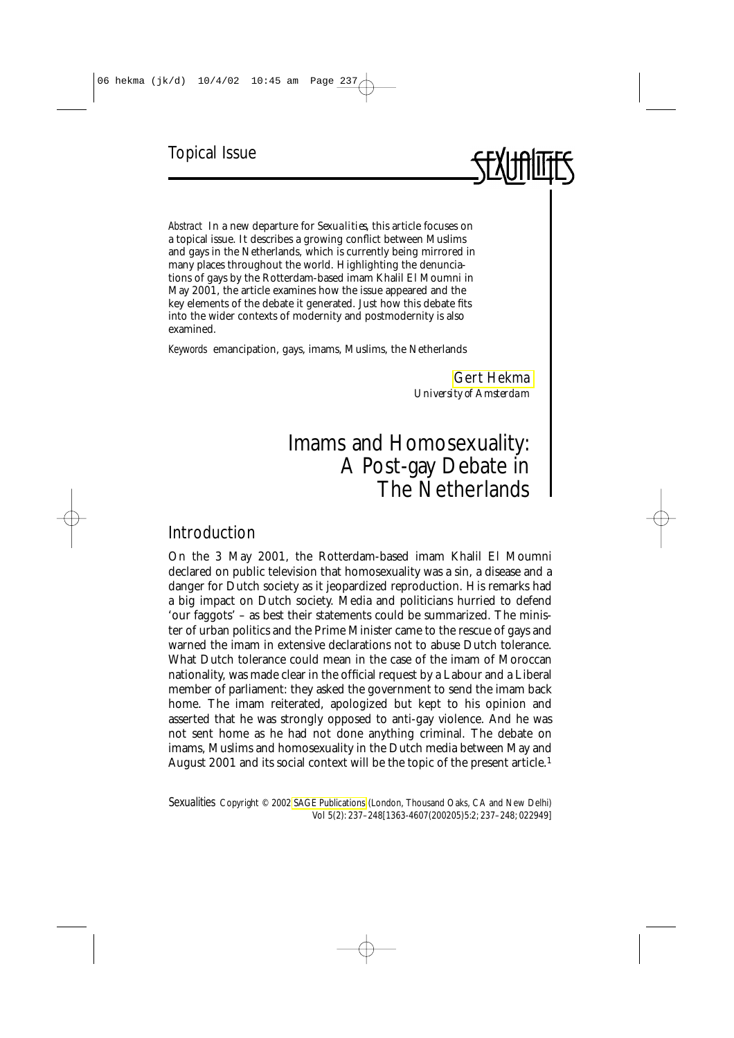*Abstract* In a new departure for *Sexualities*, this article focuses on a topical issue. It describes a growing conflict between Muslims and gays in the Netherlands, which is currently being mirrored in many places throughout the world. Highlighting the denunciations of gays by the Rotterdam-based imam Khalil El Moumni in May 2001, the article examines how the issue appeared and the key elements of the debate it generated. Just how this debate fits into the wider contexts of modernity and postmodernity is also examined.

*Keywords* emancipation, gays, imams, Muslims, the Netherlands

[Gert Hekma](#page-11-0) *University of Amsterdam*

# Imams and Homosexuality: A Post-gay Debate in The Netherlands

# Introduction

On the 3 May 2001, the Rotterdam-based imam Khalil El Moumni declared on public television that homosexuality was a sin, a disease and a danger for Dutch society as it jeopardized reproduction. His remarks had a big impact on Dutch society. Media and politicians hurried to defend 'our faggots' – as best their statements could be summarized. The minister of urban politics and the Prime Minister came to the rescue of gays and warned the imam in extensive declarations not to abuse Dutch tolerance. What Dutch tolerance could mean in the case of the imam of Moroccan nationality, was made clear in the official request by a Labour and a Liberal member of parliament: they asked the government to send the imam back home. The imam reiterated, apologized but kept to his opinion and asserted that he was strongly opposed to anti-gay violence. And he was not sent home as he had not done anything criminal. The debate on imams, Muslims and homosexuality in the Dutch media between May and August 2001 and its social context will be the topic of the present article.<sup>1</sup>

*Sexualities* Copyright © 2002 [SAGE Publications](http:\\www.sagepublications.com) (London, Thousand Oaks, CA and New Delhi) Vol 5(2): 237–248[1363-4607(200205)5:2; 237–248; 022949]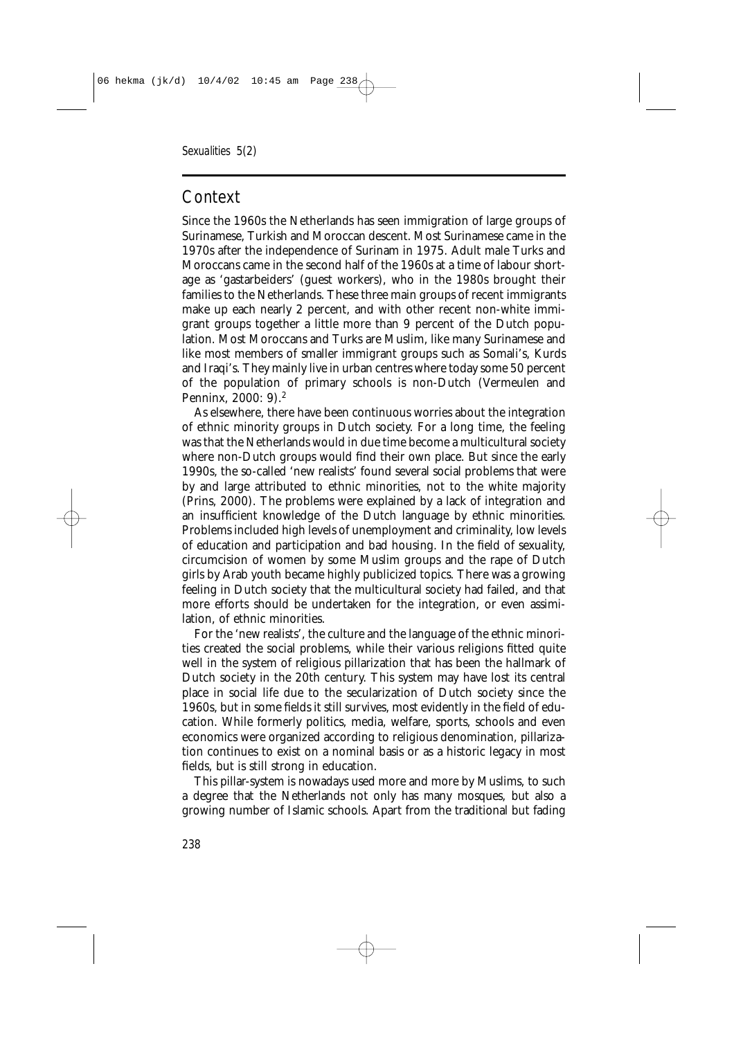### Context

Since the 1960s the Netherlands has seen immigration of large groups of Surinamese, Turkish and Moroccan descent. Most Surinamese came in the 1970s after the independence of Surinam in 1975. Adult male Turks and Moroccans came in the second half of the 1960s at a time of labour shortage as 'gastarbeiders' (guest workers), who in the 1980s brought their families to the Netherlands. These three main groups of recent immigrants make up each nearly 2 percent, and with other recent non-white immigrant groups together a little more than 9 percent of the Dutch population. Most Moroccans and Turks are Muslim, like many Surinamese and like most members of smaller immigrant groups such as Somali's, Kurds and Iraqi's. They mainly live in urban centres where today some 50 percent of the population of primary schools is non-Dutch (Vermeulen and Penninx, 2000: 9).2

As elsewhere, there have been continuous worries about the integration of ethnic minority groups in Dutch society. For a long time, the feeling was that the Netherlands would in due time become a multicultural society where non-Dutch groups would find their own place. But since the early 1990s, the so-called 'new realists' found several social problems that were by and large attributed to ethnic minorities, not to the white majority (Prins, 2000). The problems were explained by a lack of integration and an insufficient knowledge of the Dutch language by ethnic minorities. Problems included high levels of unemployment and criminality, low levels of education and participation and bad housing. In the field of sexuality, circumcision of women by some Muslim groups and the rape of Dutch girls by Arab youth became highly publicized topics. There was a growing feeling in Dutch society that the multicultural society had failed, and that more efforts should be undertaken for the integration, or even assimilation, of ethnic minorities.

For the 'new realists', the culture and the language of the ethnic minorities created the social problems, while their various religions fitted quite well in the system of religious pillarization that has been the hallmark of Dutch society in the 20th century. This system may have lost its central place in social life due to the secularization of Dutch society since the 1960s, but in some fields it still survives, most evidently in the field of education. While formerly politics, media, welfare, sports, schools and even economics were organized according to religious denomination, pillarization continues to exist on a nominal basis or as a historic legacy in most fields, but is still strong in education.

This pillar-system is nowadays used more and more by Muslims, to such a degree that the Netherlands not only has many mosques, but also a growing number of Islamic schools. Apart from the traditional but fading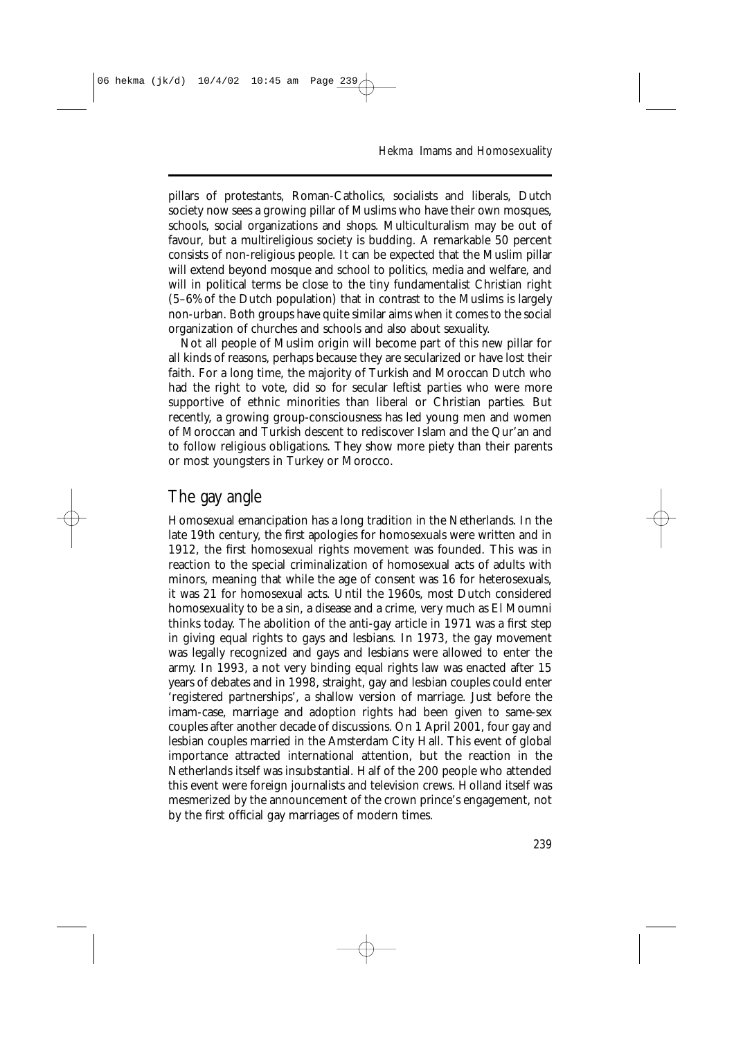pillars of protestants, Roman-Catholics, socialists and liberals, Dutch society now sees a growing pillar of Muslims who have their own mosques, schools, social organizations and shops. Multiculturalism may be out of favour, but a multireligious society is budding. A remarkable 50 percent consists of non-religious people. It can be expected that the Muslim pillar will extend beyond mosque and school to politics, media and welfare, and will in political terms be close to the tiny fundamentalist Christian right (5–6% of the Dutch population) that in contrast to the Muslims is largely non-urban. Both groups have quite similar aims when it comes to the social organization of churches and schools and also about sexuality.

Not all people of Muslim origin will become part of this new pillar for all kinds of reasons, perhaps because they are secularized or have lost their faith. For a long time, the majority of Turkish and Moroccan Dutch who had the right to vote, did so for secular leftist parties who were more supportive of ethnic minorities than liberal or Christian parties. But recently, a growing group-consciousness has led young men and women of Moroccan and Turkish descent to rediscover Islam and the Qur'an and to follow religious obligations. They show more piety than their parents or most youngsters in Turkey or Morocco.

### The gay angle

Homosexual emancipation has a long tradition in the Netherlands. In the late 19th century, the first apologies for homosexuals were written and in 1912, the first homosexual rights movement was founded. This was in reaction to the special criminalization of homosexual acts of adults with minors, meaning that while the age of consent was 16 for heterosexuals, it was 21 for homosexual acts. Until the 1960s, most Dutch considered homosexuality to be a sin, a disease and a crime, very much as El Moumni thinks today. The abolition of the anti-gay article in 1971 was a first step in giving equal rights to gays and lesbians. In 1973, the gay movement was legally recognized and gays and lesbians were allowed to enter the army. In 1993, a not very binding equal rights law was enacted after 15 years of debates and in 1998, straight, gay and lesbian couples could enter 'registered partnerships', a shallow version of marriage. Just before the imam-case, marriage and adoption rights had been given to same-sex couples after another decade of discussions. On 1 April 2001, four gay and lesbian couples married in the Amsterdam City Hall. This event of global importance attracted international attention, but the reaction in the Netherlands itself was insubstantial. Half of the 200 people who attended this event were foreign journalists and television crews. Holland itself was mesmerized by the announcement of the crown prince's engagement, not by the first official gay marriages of modern times.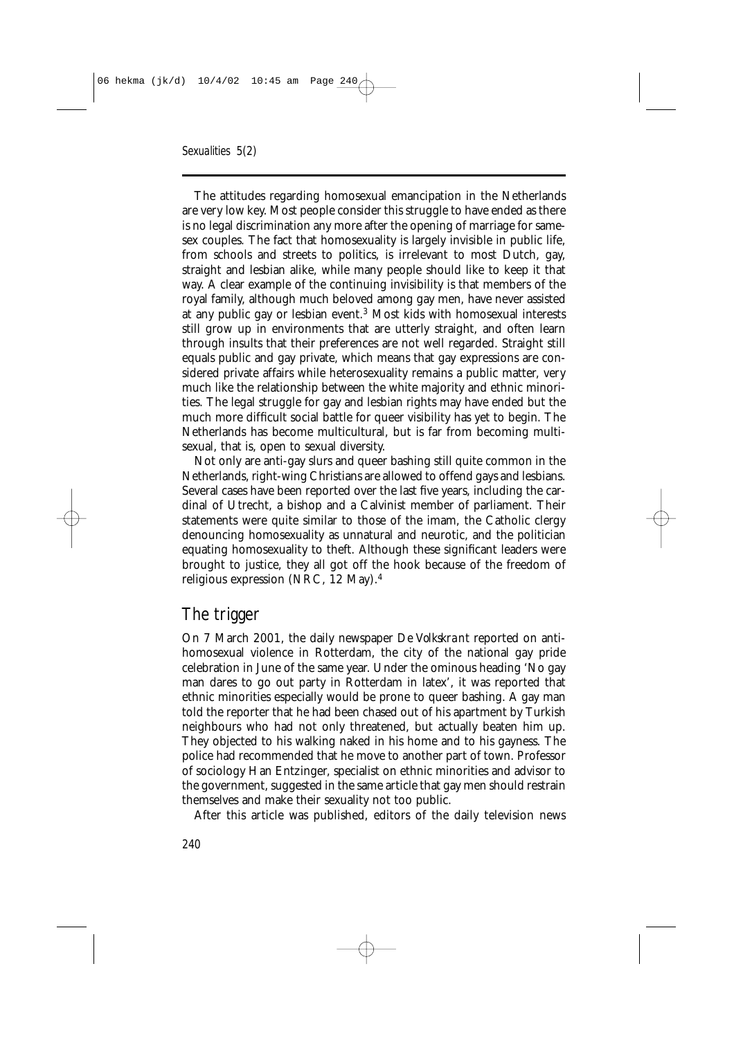The attitudes regarding homosexual emancipation in the Netherlands are very low key. Most people consider this struggle to have ended as there is no legal discrimination any more after the opening of marriage for samesex couples. The fact that homosexuality is largely invisible in public life, from schools and streets to politics, is irrelevant to most Dutch, gay, straight and lesbian alike, while many people should like to keep it that way. A clear example of the continuing invisibility is that members of the royal family, although much beloved among gay men, have never assisted at any public gay or lesbian event.3 Most kids with homosexual interests still grow up in environments that are utterly straight, and often learn through insults that their preferences are not well regarded. Straight still equals public and gay private, which means that gay expressions are considered private affairs while heterosexuality remains a public matter, very much like the relationship between the white majority and ethnic minorities. The legal struggle for gay and lesbian rights may have ended but the much more difficult social battle for queer visibility has yet to begin. The Netherlands has become multicultural, but is far from becoming multisexual, that is, open to sexual diversity.

Not only are anti-gay slurs and queer bashing still quite common in the Netherlands, right-wing Christians are allowed to offend gays and lesbians. Several cases have been reported over the last five years, including the cardinal of Utrecht, a bishop and a Calvinist member of parliament. Their statements were quite similar to those of the imam, the Catholic clergy denouncing homosexuality as unnatural and neurotic, and the politician equating homosexuality to theft. Although these significant leaders were brought to justice, they all got off the hook because of the freedom of religious expression (*NRC*, 12 May).4

## The trigger

On 7 March 2001, the daily newspaper *De Volkskrant* reported on antihomosexual violence in Rotterdam, the city of the national gay pride celebration in June of the same year. Under the ominous heading 'No gay man dares to go out party in Rotterdam in latex', it was reported that ethnic minorities especially would be prone to queer bashing. A gay man told the reporter that he had been chased out of his apartment by Turkish neighbours who had not only threatened, but actually beaten him up. They objected to his walking naked in his home and to his gayness. The police had recommended that he move to another part of town. Professor of sociology Han Entzinger, specialist on ethnic minorities and advisor to the government, suggested in the same article that gay men should restrain themselves and make their sexuality not too public.

After this article was published, editors of the daily television news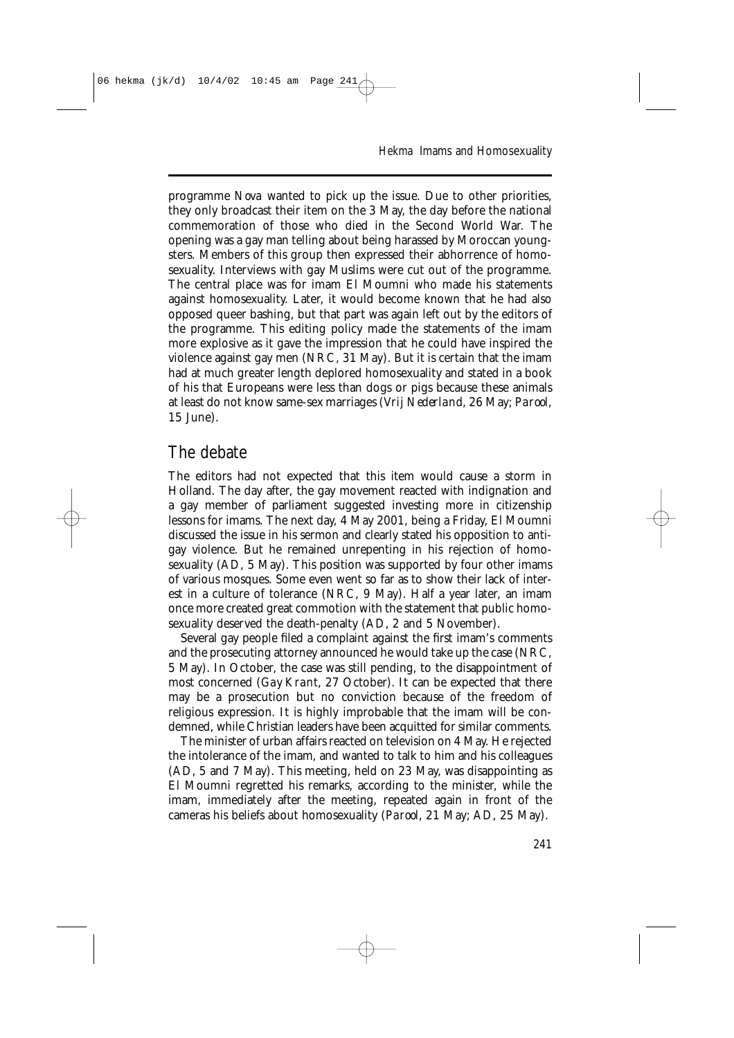programme *Nova* wanted to pick up the issue. Due to other priorities, they only broadcast their item on the 3 May, the day before the national commemoration of those who died in the Second World War. The opening was a gay man telling about being harassed by Moroccan youngsters. Members of this group then expressed their abhorrence of homosexuality. Interviews with gay Muslims were cut out of the programme. The central place was for imam El Moumni who made his statements against homosexuality. Later, it would become known that he had also opposed queer bashing, but that part was again left out by the editors of the programme. This editing policy made the statements of the imam more explosive as it gave the impression that he could have inspired the violence against gay men (*NRC*, 31 May). But it is certain that the imam had at much greater length deplored homosexuality and stated in a book of his that Europeans were less than dogs or pigs because these animals at least do not know same-sex marriages (*Vrij Nederland*, 26 May; *Parool*, 15 June).

#### The debate

The editors had not expected that this item would cause a storm in Holland. The day after, the gay movement reacted with indignation and a gay member of parliament suggested investing more in citizenship lessons for imams. The next day, 4 May 2001, being a Friday, El Moumni discussed the issue in his sermon and clearly stated his opposition to antigay violence. But he remained unrepenting in his rejection of homosexuality (*AD*, 5 May). This position was supported by four other imams of various mosques. Some even went so far as to show their lack of interest in a culture of tolerance (*NRC*, 9 May). Half a year later, an imam once more created great commotion with the statement that public homosexuality deserved the death-penalty (*AD*, 2 and 5 November).

Several gay people filed a complaint against the first imam's comments and the prosecuting attorney announced he would take up the case (*NRC*, 5 May). In October, the case was still pending, to the disappointment of most concerned (*Gay Krant*, 27 October). It can be expected that there may be a prosecution but no conviction because of the freedom of religious expression. It is highly improbable that the imam will be condemned, while Christian leaders have been acquitted for similar comments.

The minister of urban affairs reacted on television on 4 May. He rejected the intolerance of the imam, and wanted to talk to him and his colleagues (*AD*, 5 and 7 May). This meeting, held on 23 May, was disappointing as El Moumni regretted his remarks, according to the minister, while the imam, immediately after the meeting, repeated again in front of the cameras his beliefs about homosexuality (*Parool*, 21 May; *AD*, 25 May).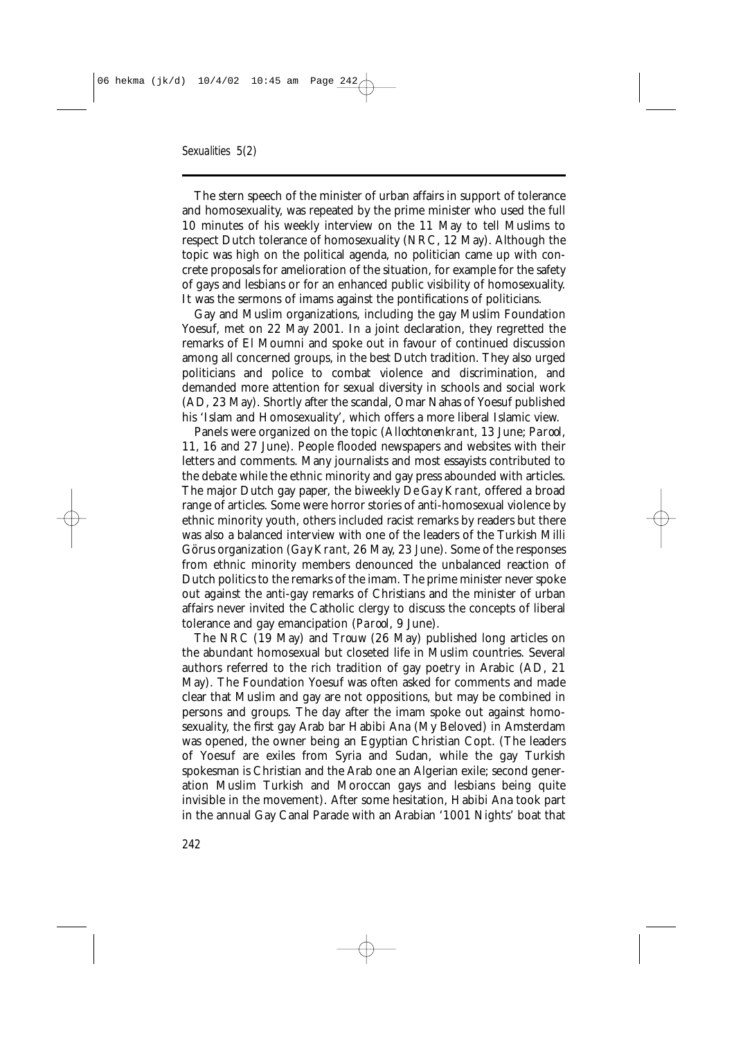The stern speech of the minister of urban affairs in support of tolerance and homosexuality, was repeated by the prime minister who used the full 10 minutes of his weekly interview on the 11 May to tell Muslims to respect Dutch tolerance of homosexuality (*NRC*, 12 May). Although the topic was high on the political agenda, no politician came up with concrete proposals for amelioration of the situation, for example for the safety of gays and lesbians or for an enhanced public visibility of homosexuality. It was the sermons of imams against the pontifications of politicians.

Gay and Muslim organizations, including the gay Muslim Foundation Yoesuf, met on 22 May 2001. In a joint declaration, they regretted the remarks of El Moumni and spoke out in favour of continued discussion among all concerned groups, in the best Dutch tradition. They also urged politicians and police to combat violence and discrimination, and demanded more attention for sexual diversity in schools and social work (*AD*, 23 May). Shortly after the scandal, Omar Nahas of Yoesuf published his 'Islam and Homosexuality', which offers a more liberal Islamic view.

Panels were organized on the topic (*Allochtonenkrant*, 13 June; *Parool*, 11, 16 and 27 June). People flooded newspapers and websites with their letters and comments. Many journalists and most essayists contributed to the debate while the ethnic minority and gay press abounded with articles. The major Dutch gay paper, the biweekly *De Gay Krant*, offered a broad range of articles. Some were horror stories of anti-homosexual violence by ethnic minority youth, others included racist remarks by readers but there was also a balanced interview with one of the leaders of the Turkish Milli Görus organization (*Gay Krant*, 26 May, 23 June). Some of the responses from ethnic minority members denounced the unbalanced reaction of Dutch politics to the remarks of the imam. The prime minister never spoke out against the anti-gay remarks of Christians and the minister of urban affairs never invited the Catholic clergy to discuss the concepts of liberal tolerance and gay emancipation (*Parool*, 9 June).

The *NRC* (19 May) and *Trouw* (26 May) published long articles on the abundant homosexual but closeted life in Muslim countries. Several authors referred to the rich tradition of gay poetry in Arabic (*AD*, 21 May). The Foundation Yoesuf was often asked for comments and made clear that Muslim and gay are not oppositions, but may be combined in persons and groups. The day after the imam spoke out against homosexuality, the first gay Arab bar Habibi Ana (My Beloved) in Amsterdam was opened, the owner being an Egyptian Christian Copt. (The leaders of Yoesuf are exiles from Syria and Sudan, while the gay Turkish spokesman is Christian and the Arab one an Algerian exile; second generation Muslim Turkish and Moroccan gays and lesbians being quite invisible in the movement). After some hesitation, Habibi Ana took part in the annual Gay Canal Parade with an Arabian '1001 Nights' boat that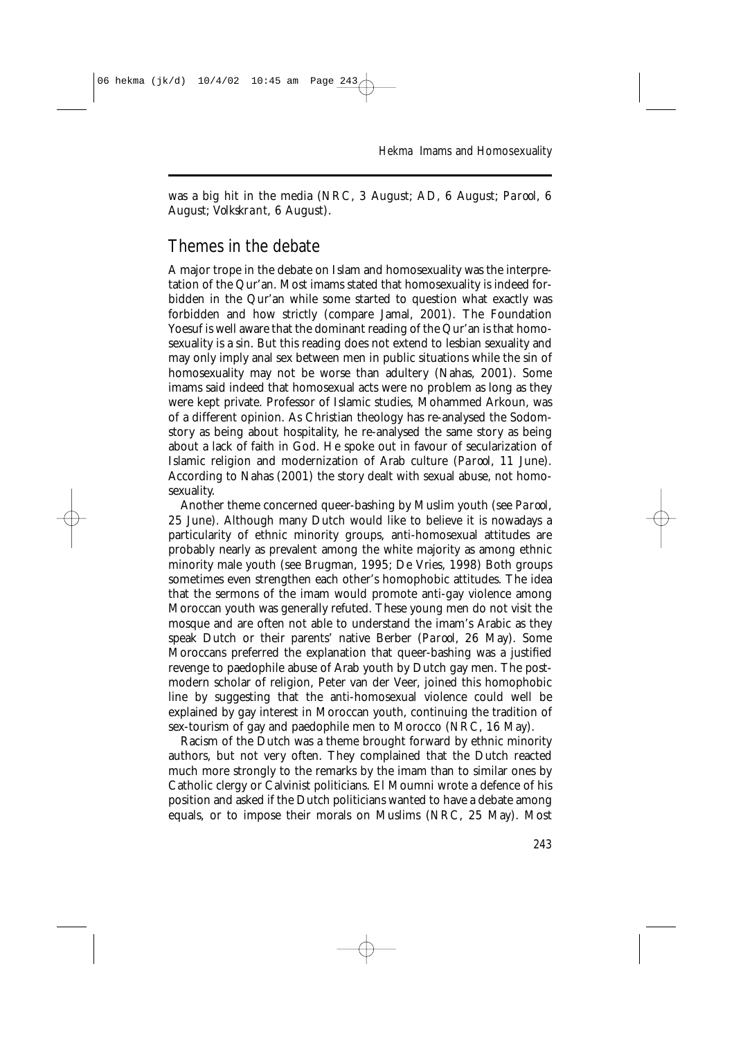was a big hit in the media (*NRC*, 3 August; *AD*, 6 August; *Parool*, 6 August; *Volkskrant*, 6 August).

### Themes in the debate

A major trope in the debate on Islam and homosexuality was the interpretation of the Qur'an. Most imams stated that homosexuality is indeed forbidden in the Qur'an while some started to question what exactly was forbidden and how strictly (compare Jamal, 2001). The Foundation Yoesuf is well aware that the dominant reading of the Qur'an is that homosexuality is a sin. But this reading does not extend to lesbian sexuality and may only imply anal sex between men in public situations while the sin of homosexuality may not be worse than adultery (Nahas, 2001). Some imams said indeed that homosexual acts were no problem as long as they were kept private. Professor of Islamic studies, Mohammed Arkoun, was of a different opinion. As Christian theology has re-analysed the Sodomstory as being about hospitality, he re-analysed the same story as being about a lack of faith in God. He spoke out in favour of secularization of Islamic religion and modernization of Arab culture (*Parool*, 11 June). According to Nahas (2001) the story dealt with sexual abuse, not homosexuality.

Another theme concerned queer-bashing by Muslim youth (see *Parool*, 25 June). Although many Dutch would like to believe it is nowadays a particularity of ethnic minority groups, anti-homosexual attitudes are probably nearly as prevalent among the white majority as among ethnic minority male youth (see Brugman, 1995; De Vries, 1998) Both groups sometimes even strengthen each other's homophobic attitudes. The idea that the sermons of the imam would promote anti-gay violence among Moroccan youth was generally refuted. These young men do not visit the mosque and are often not able to understand the imam's Arabic as they speak Dutch or their parents' native Berber (*Parool*, 26 May). Some Moroccans preferred the explanation that queer-bashing was a justified revenge to paedophile abuse of Arab youth by Dutch gay men. The postmodern scholar of religion, Peter van der Veer, joined this homophobic line by suggesting that the anti-homosexual violence could well be explained by gay interest in Moroccan youth, continuing the tradition of sex-tourism of gay and paedophile men to Morocco (*NRC*, 16 May).

Racism of the Dutch was a theme brought forward by ethnic minority authors, but not very often. They complained that the Dutch reacted much more strongly to the remarks by the imam than to similar ones by Catholic clergy or Calvinist politicians. El Moumni wrote a defence of his position and asked if the Dutch politicians wanted to have a debate among equals, or to impose their morals on Muslims (*NRC*, 25 May). Most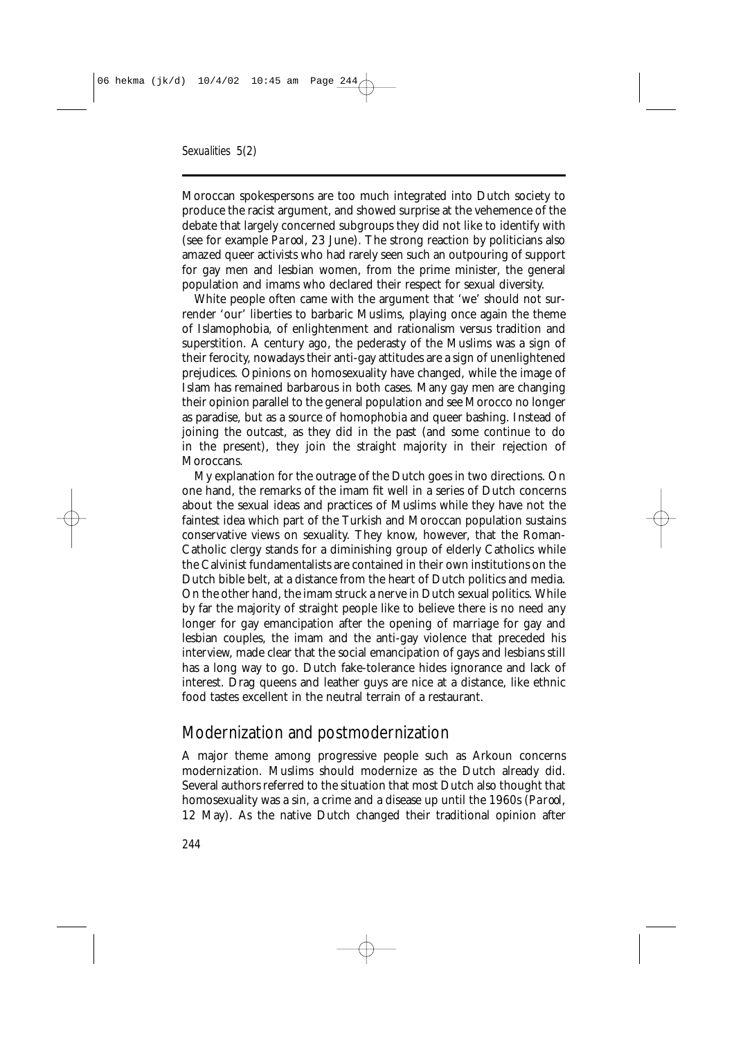Moroccan spokespersons are too much integrated into Dutch society to produce the racist argument, and showed surprise at the vehemence of the debate that largely concerned subgroups they did not like to identify with (see for example *Parool*, 23 June). The strong reaction by politicians also amazed queer activists who had rarely seen such an outpouring of support for gay men and lesbian women, from the prime minister, the general population and imams who declared their respect for sexual diversity.

White people often came with the argument that 'we' should not surrender 'our' liberties to barbaric Muslims, playing once again the theme of Islamophobia, of enlightenment and rationalism versus tradition and superstition. A century ago, the pederasty of the Muslims was a sign of their ferocity, nowadays their anti-gay attitudes are a sign of unenlightened prejudices. Opinions on homosexuality have changed, while the image of Islam has remained barbarous in both cases. Many gay men are changing their opinion parallel to the general population and see Morocco no longer as paradise, but as a source of homophobia and queer bashing. Instead of joining the outcast, as they did in the past (and some continue to do in the present), they join the straight majority in their rejection of Moroccans.

My explanation for the outrage of the Dutch goes in two directions. On one hand, the remarks of the imam fit well in a series of Dutch concerns about the sexual ideas and practices of Muslims while they have not the faintest idea which part of the Turkish and Moroccan population sustains conservative views on sexuality. They know, however, that the Roman-Catholic clergy stands for a diminishing group of elderly Catholics while the Calvinist fundamentalists are contained in their own institutions on the Dutch bible belt, at a distance from the heart of Dutch politics and media. On the other hand, the imam struck a nerve in Dutch sexual politics. While by far the majority of straight people like to believe there is no need any longer for gay emancipation after the opening of marriage for gay and lesbian couples, the imam and the anti-gay violence that preceded his interview, made clear that the social emancipation of gays and lesbians still has a long way to go. Dutch fake-tolerance hides ignorance and lack of interest. Drag queens and leather guys are nice at a distance, like ethnic food tastes excellent in the neutral terrain of a restaurant.

# Modernization and postmodernization

A major theme among progressive people such as Arkoun concerns modernization. Muslims should modernize as the Dutch already did. Several authors referred to the situation that most Dutch also thought that homosexuality was a sin, a crime and a disease up until the 1960s (*Parool*, 12 May). As the native Dutch changed their traditional opinion after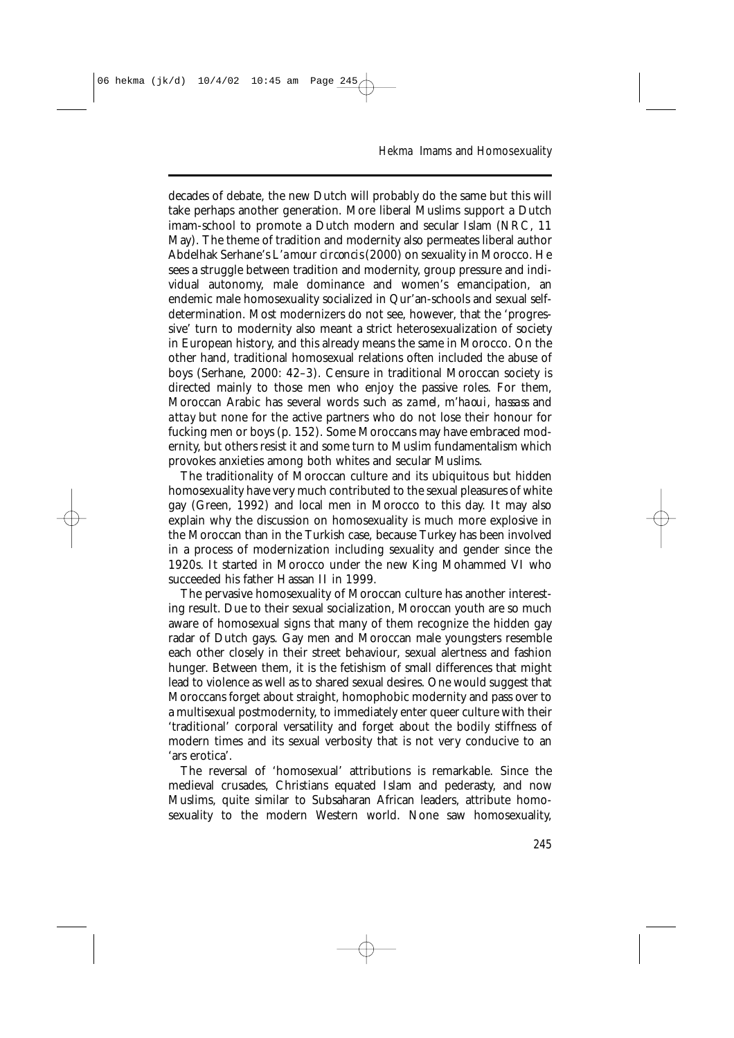decades of debate, the new Dutch will probably do the same but this will take perhaps another generation. More liberal Muslims support a Dutch imam-school to promote a Dutch modern and secular Islam (*NRC*, 11 May). The theme of tradition and modernity also permeates liberal author Abdelhak Serhane's *L'amour circoncis* (2000) on sexuality in Morocco. He sees a struggle between tradition and modernity, group pressure and individual autonomy, male dominance and women's emancipation, an endemic male homosexuality socialized in Qur'an-schools and sexual selfdetermination. Most modernizers do not see, however, that the 'progressive' turn to modernity also meant a strict heterosexualization of society in European history, and this already means the same in Morocco. On the other hand, traditional homosexual relations often included the abuse of boys (Serhane, 2000: 42–3). Censure in traditional Moroccan society is directed mainly to those men who enjoy the passive roles. For them, Moroccan Arabic has several words such as *zamel, m'haoui, hassass* and *attay* but none for the active partners who do not lose their honour for fucking men or boys (p. 152). Some Moroccans may have embraced modernity, but others resist it and some turn to Muslim fundamentalism which provokes anxieties among both whites and secular Muslims.

The traditionality of Moroccan culture and its ubiquitous but hidden homosexuality have very much contributed to the sexual pleasures of white gay (Green, 1992) and local men in Morocco to this day. It may also explain why the discussion on homosexuality is much more explosive in the Moroccan than in the Turkish case, because Turkey has been involved in a process of modernization including sexuality and gender since the 1920s. It started in Morocco under the new King Mohammed VI who succeeded his father Hassan II in 1999.

The pervasive homosexuality of Moroccan culture has another interesting result. Due to their sexual socialization, Moroccan youth are so much aware of homosexual signs that many of them recognize the hidden gay radar of Dutch gays. Gay men and Moroccan male youngsters resemble each other closely in their street behaviour, sexual alertness and fashion hunger. Between them, it is the fetishism of small differences that might lead to violence as well as to shared sexual desires. One would suggest that Moroccans forget about straight, homophobic modernity and pass over to a multisexual postmodernity, to immediately enter queer culture with their 'traditional' corporal versatility and forget about the bodily stiffness of modern times and its sexual verbosity that is not very conducive to an 'ars erotica'.

The reversal of 'homosexual' attributions is remarkable. Since the medieval crusades, Christians equated Islam and pederasty, and now Muslims, quite similar to Subsaharan African leaders, attribute homosexuality to the modern Western world. None saw homosexuality,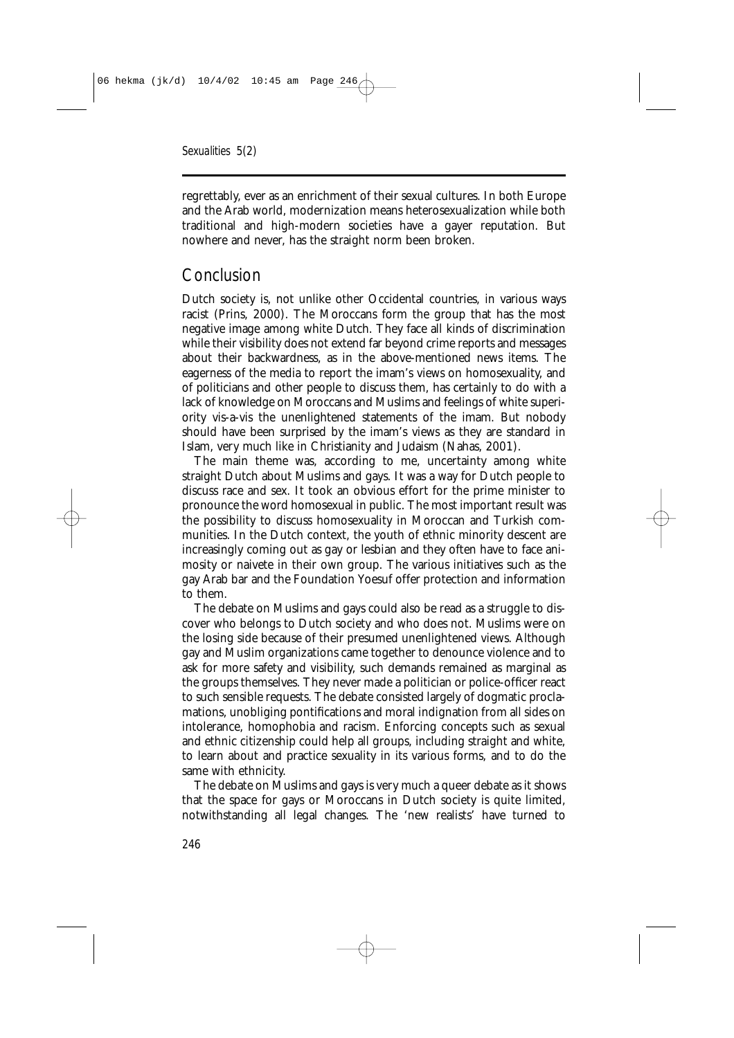regrettably, ever as an enrichment of their sexual cultures. In both Europe and the Arab world, modernization means heterosexualization while both traditional and high-modern societies have a gayer reputation. But nowhere and never, has the straight norm been broken.

# Conclusion

Dutch society is, not unlike other Occidental countries, in various ways racist (Prins, 2000). The Moroccans form the group that has the most negative image among white Dutch. They face all kinds of discrimination while their visibility does not extend far beyond crime reports and messages about their backwardness, as in the above-mentioned news items. The eagerness of the media to report the imam's views on homosexuality, and of politicians and other people to discuss them, has certainly to do with a lack of knowledge on Moroccans and Muslims and feelings of white superiority vis-a-vis the unenlightened statements of the imam. But nobody should have been surprised by the imam's views as they are standard in Islam, very much like in Christianity and Judaism (Nahas, 2001).

The main theme was, according to me, uncertainty among white straight Dutch about Muslims and gays. It was a way for Dutch people to discuss race and sex. It took an obvious effort for the prime minister to pronounce the word homosexual in public. The most important result was the possibility to discuss homosexuality in Moroccan and Turkish communities. In the Dutch context, the youth of ethnic minority descent are increasingly coming out as gay or lesbian and they often have to face animosity or naivete in their own group. The various initiatives such as the gay Arab bar and the Foundation Yoesuf offer protection and information to them.

The debate on Muslims and gays could also be read as a struggle to discover who belongs to Dutch society and who does not. Muslims were on the losing side because of their presumed unenlightened views. Although gay and Muslim organizations came together to denounce violence and to ask for more safety and visibility, such demands remained as marginal as the groups themselves. They never made a politician or police-officer react to such sensible requests. The debate consisted largely of dogmatic proclamations, unobliging pontifications and moral indignation from all sides on intolerance, homophobia and racism. Enforcing concepts such as sexual and ethnic citizenship could help all groups, including straight and white, to learn about and practice sexuality in its various forms, and to do the same with ethnicity.

The debate on Muslims and gays is very much a queer debate as it shows that the space for gays or Moroccans in Dutch society is quite limited, notwithstanding all legal changes. The 'new realists' have turned to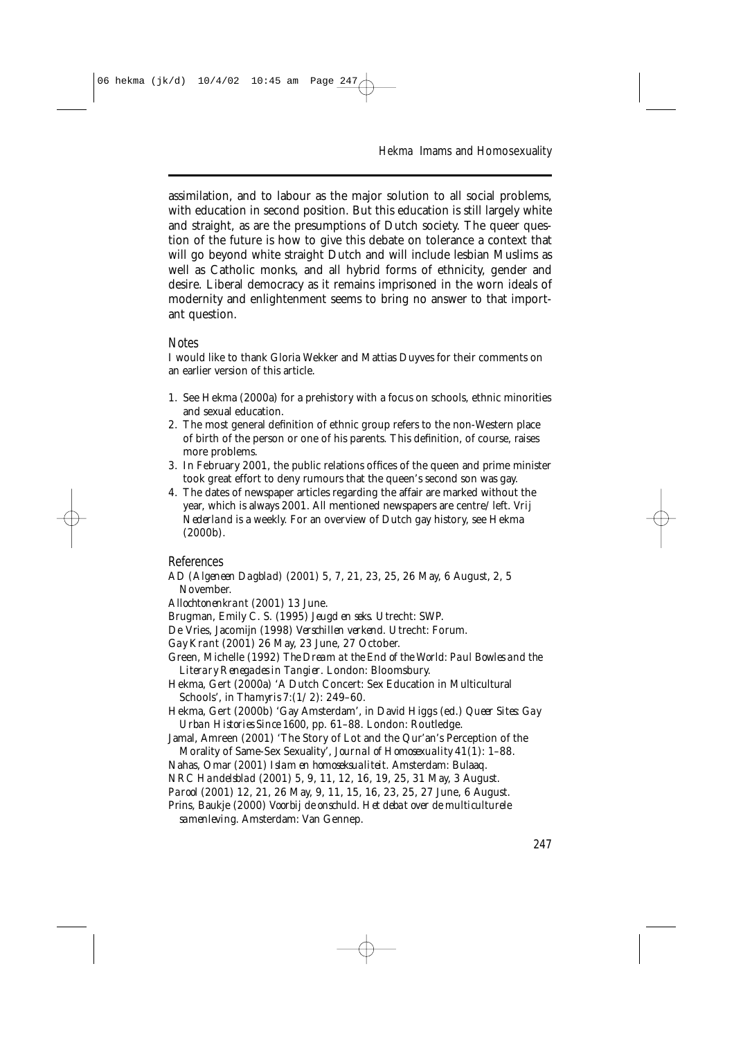assimilation, and to labour as the major solution to all social problems, with education in second position. But this education is still largely white and straight, as are the presumptions of Dutch society. The queer question of the future is how to give this debate on tolerance a context that will go beyond white straight Dutch and will include lesbian Muslims as well as Catholic monks, and all hybrid forms of ethnicity, gender and desire. Liberal democracy as it remains imprisoned in the worn ideals of modernity and enlightenment seems to bring no answer to that important question.

#### *Notes*

I would like to thank Gloria Wekker and Mattias Duyves for their comments on an earlier version of this article.

- 1. See Hekma (2000a) for a prehistory with a focus on schools, ethnic minorities and sexual education.
- 2. The most general definition of ethnic group refers to the non-Western place of birth of the person or one of his parents. This definition, of course, raises more problems.
- 3. In February 2001, the public relations offices of the queen and prime minister took great effort to deny rumours that the queen's second son was gay.
- 4. The dates of newspaper articles regarding the affair are marked without the year, which is always 2001. All mentioned newspapers are centre/left. *Vrij Nederland* is a weekly. For an overview of Dutch gay history, see Hekma (2000b).

#### *References*

- *AD (Algeneen Dagblad)* (2001) 5, 7, 21, 23, 25, 26 May, 6 August, 2, 5 November.
- *Allochtonenkrant* (2001) 13 June.
- Brugman, Emily C. S. (1995) *Jeugd en seks*. Utrecht: SWP.
- De Vries, Jacomijn (1998) *Verschillen verkend*. Utrecht: Forum.
- *Gay Krant* (2001) 26 May, 23 June, 27 October.
- Green, Michelle (1992) *The Dream at the End of the World: Paul Bowles and the Literary Renegades in Tangier*. London: Bloomsbury.
- Hekma, Gert (2000a) 'A Dutch Concert: Sex Education in Multicultural Schools', in *Thamyris* 7:(1/2): 249–60.
- Hekma, Gert (2000b) 'Gay Amsterdam', in David Higgs (ed.) *Queer Sites: Gay Urban Histories Since 1600*, pp. 61–88. London: Routledge.
- Jamal, Amreen (2001) 'The Story of Lot and the Qur'an's Perception of the Morality of Same-Sex Sexuality', *Journal of Homosexuality* 41(1): 1–88.
- Nahas, Omar (2001) *Islam en homoseksualiteit*. Amsterdam: Bulaaq.
- *NRC Handelsblad* (2001) 5, 9, 11, 12, 16, 19, 25, 31 May, 3 August.
- *Parool* (2001) 12, 21, 26 May, 9, 11, 15, 16, 23, 25, 27 June, 6 August.
- Prins, Baukje (2000) *Voorbij de onschuld. Het debat over de multiculturele samenleving*. Amsterdam: Van Gennep.